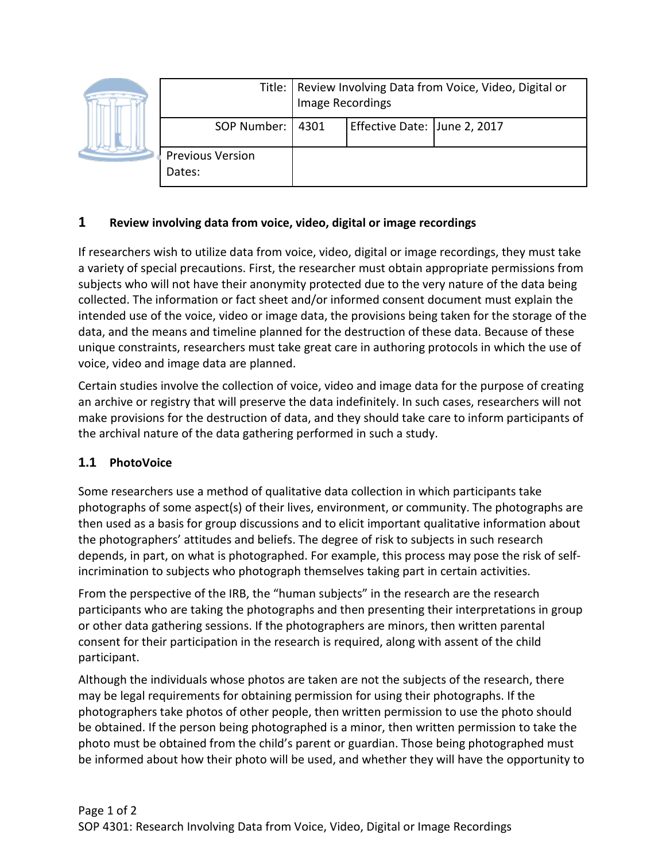|  |                                   | Title:   Review Involving Data from Voice, Video, Digital or<br>Image Recordings |                              |  |
|--|-----------------------------------|----------------------------------------------------------------------------------|------------------------------|--|
|  | SOP Number:   4301                |                                                                                  | Effective Date: June 2, 2017 |  |
|  | <b>Previous Version</b><br>Dates: |                                                                                  |                              |  |

## **1 Review involving data from voice, video, digital or image recordings**

If researchers wish to utilize data from voice, video, digital or image recordings, they must take a variety of special precautions. First, the researcher must obtain appropriate permissions from subjects who will not have their anonymity protected due to the very nature of the data being collected. The information or fact sheet and/or informed consent document must explain the intended use of the voice, video or image data, the provisions being taken for the storage of the data, and the means and timeline planned for the destruction of these data. Because of these unique constraints, researchers must take great care in authoring protocols in which the use of voice, video and image data are planned.

Certain studies involve the collection of voice, video and image data for the purpose of creating an archive or registry that will preserve the data indefinitely. In such cases, researchers will not make provisions for the destruction of data, and they should take care to inform participants of the archival nature of the data gathering performed in such a study.

## **1.1 PhotoVoice**

Some researchers use a method of qualitative data collection in which participants take photographs of some aspect(s) of their lives, environment, or community. The photographs are then used as a basis for group discussions and to elicit important qualitative information about the photographers' attitudes and beliefs. The degree of risk to subjects in such research depends, in part, on what is photographed. For example, this process may pose the risk of selfincrimination to subjects who photograph themselves taking part in certain activities.

From the perspective of the IRB, the "human subjects" in the research are the research participants who are taking the photographs and then presenting their interpretations in group or other data gathering sessions. If the photographers are minors, then written parental consent for their participation in the research is required, along with assent of the child participant.

Although the individuals whose photos are taken are not the subjects of the research, there may be legal requirements for obtaining permission for using their photographs. If the photographers take photos of other people, then written permission to use the photo should be obtained. If the person being photographed is a minor, then written permission to take the photo must be obtained from the child's parent or guardian. Those being photographed must be informed about how their photo will be used, and whether they will have the opportunity to